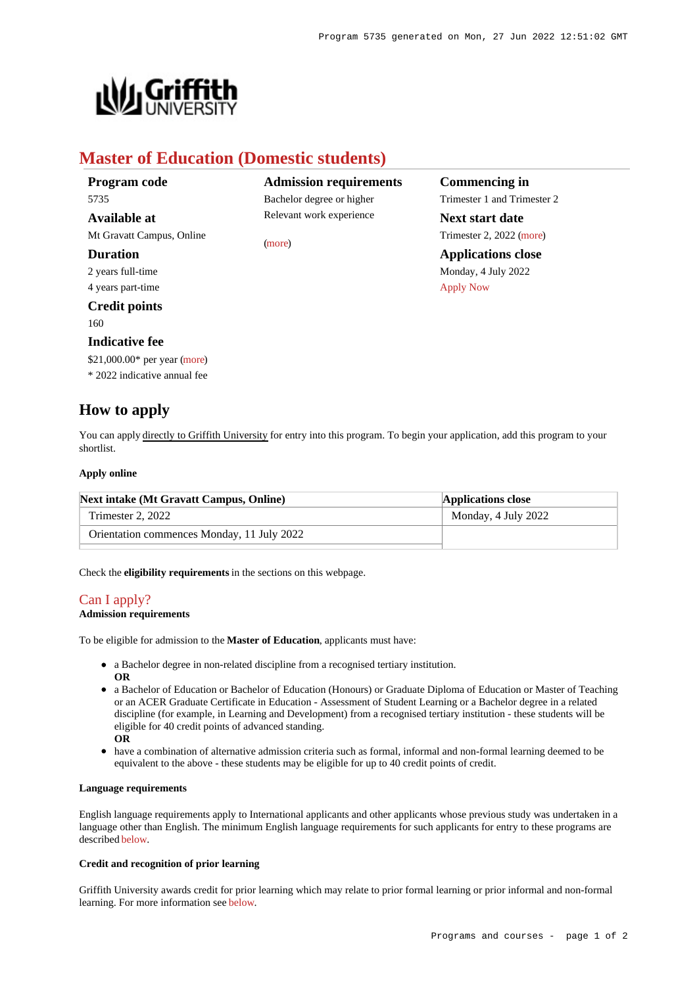

# **Master of Education (Domestic students)**

| Program code                 | <b>Admission requirements</b> | Commencing in               |
|------------------------------|-------------------------------|-----------------------------|
| 5735                         | Bachelor degree or higher     | Trimester 1 and Trimester 2 |
| Available at                 | Relevant work experience      | <b>Next start date</b>      |
| Mt Gravatt Campus, Online    | (more)                        | Trimester 2, 2022 (more)    |
| <b>Duration</b>              |                               | <b>Applications close</b>   |
| 2 years full-time            |                               | Monday, 4 July 2022         |
| 4 years part-time            |                               | <b>Apply Now</b>            |
| <b>Credit points</b>         |                               |                             |
| 160                          |                               |                             |
| <b>Indicative fee</b>        |                               |                             |
| \$21,000.00* per year (more) |                               |                             |
| * 2022 indicative annual fee |                               |                             |

# **How to apply**

You can apply directly to Griffith University for entry into this program. To begin your application, add this program to your shortlist.

### **Apply online**

| Next intake (Mt Gravatt Campus, Online)    | <b>Applications close</b> |
|--------------------------------------------|---------------------------|
| Trimester 2, 2022                          | Monday, 4 July 2022       |
| Orientation commences Monday, 11 July 2022 |                           |

Check the **eligibility requirements** in the sections on this webpage.

# [Can I apply?](https://www148.griffith.edu.au/programs-courses/Program/5735/HowToApply/Domestic#can-i-apply)

#### **Admission requirements**

To be eligible for admission to the **Master of Education**, applicants must have:

- a Bachelor degree in non-related discipline from a recognised tertiary institution.
- **OR**
- a Bachelor of Education or Bachelor of Education (Honours) or Graduate Diploma of Education or Master of Teaching or an ACER Graduate Certificate in Education - Assessment of Student Learning or a Bachelor degree in a related discipline (for example, in Learning and Development) from a recognised tertiary institution - these students will be eligible for 40 credit points of advanced standing.
- **OR**
- have a combination of alternative admission criteria such as formal, informal and non-formal learning deemed to be equivalent to the above - these students may be eligible for up to 40 credit points of credit.

#### **Language requirements**

English language requirements apply to International applicants and other applicants whose previous study was undertaken in a language other than English. The minimum English language requirements for such applicants for entry to these programs are described [below](https://www148.griffith.edu.au/programs-courses/Program/5735/HowToApply/Domestic#language).

## **Credit and recognition of prior learning**

Griffith University awards credit for prior learning which may relate to prior formal learning or prior informal and non-formal learning. For more information see [below](https://www148.griffith.edu.au/programs-courses/Program/5735/HowToApply/Domestic#credit).